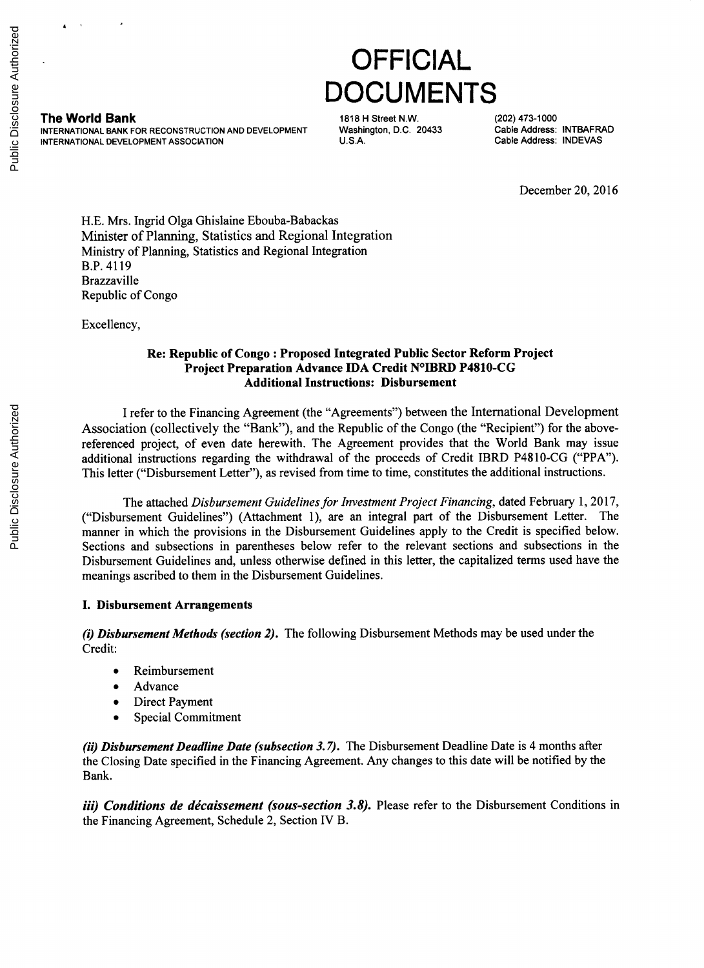**4**

**The World Bank 1818 CONVERTED MANUS AND STREET STATE 1818 H Street N.W.** (202) 473-1000<br>1818 INTERNATIONAL BANK FOR RECONSTRUCTION AND DEVELOPMENT Washington, D.C. 20433 **INTERNATIONAL** BANK FOR **RECONSTRUCTION AND DEVELOPMENT** Washington, **D.C.** 20433 Cable Address: INTBAFRAD **INTERNATIONAL DEVELOPMENT ASSOCIATION** 

**OFFICIAL DOCUMENTS**

December 20, **2016**

**H.E.** Mrs. Ingrid Olga Ghislaine Ebouba-Babackas Minister of Planning, Statistics and Regional Integration Ministry of Planning, Statistics and Regional Integration B.P. 4119 Brazzaville Republic of Congo

Excellency,

## **Re: Republic of Congo : Proposed Integrated Public Sector Reform Project Project Preparation Advance IDA Credit N<sup>0</sup> IBRD P4810-CG Additional Instructions: Disbursement**

**I refer to** the Financing Agreement (the "Agreements") between the International Development Association (collectively the "Bank"), and the Republic of the Congo (the "Recipient") for the abovereferenced project, of even date herewith. The Agreement provides that the World Bank may issue additional instructions regarding the withdrawal of the proceeds of Credit IBRD **P4810-CG** ("PPA"). This letter ("Disbursement Letter"), as revised from time to time, constitutes the additional instructions.

The attached *Disbursement Guidelines for Investment Project Financing,* dated February **1, 2017,** ("Disbursement Guidelines") (Attachment **1),** are an integral part of the Disbursement Letter. The manner in which the provisions in the Disbursement Guidelines apply to the Credit is specified below. Sections and subsections in parentheses below refer to the relevant sections and subsections in the Disbursement Guidelines and, unless otherwise defined in this letter, the capitalized terms used have the meanings ascribed to them in the Disbursement Guidelines.

## **I. Disbursement Arrangements**

*(i) Disbursement Methods (section 2).* The following Disbursement Methods may be used under the Credit:

- Reimbursement
- Advance
- Direct Payment
- Special Commitment

*(ii) Disbursement Deadline Date (subsection 3.7).* The Disbursement Deadline Date is 4 months after the Closing Date specified in the Financing Agreement. Any changes to this date will be notified **by** the Bank.

*iii) Conditions de décaissement (sous-section 3.8).* Please refer to the Disbursement Conditions in the Financing Agreement, Schedule 2, Section IV B.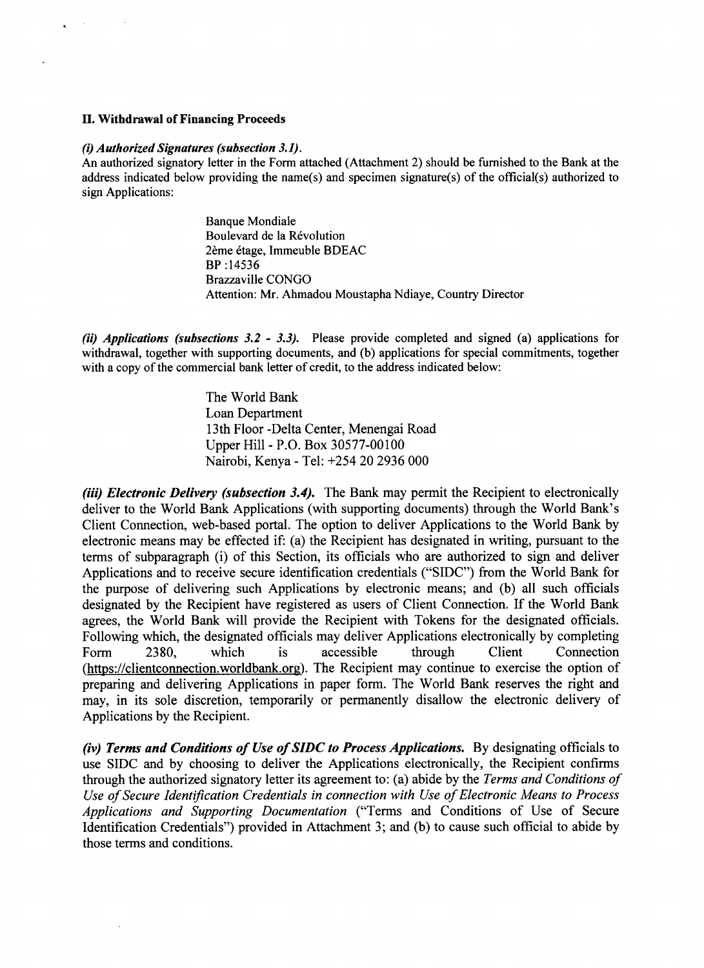#### **H. Withdrawal of Financing Proceeds**

#### *(i) Authorized Signatures (subsection 3.1).*

An authorized signatory letter in the Form attached (Attachment 2) should be furnished to the Bank at the address indicated below providing the name(s) and specimen signature(s) of the official(s) authorized to sign Applications:

> Banque Mondiale Boulevard de la Révolution 26me 6tage, Immeuble **BDEAC** BP *:14536* Brazzaville **CONGO** Attention: Mr. Ahmadou Moustapha Ndiaye, Country Director

*(ii) Applications (subsections 3.2* **-** *3.3).* Please provide completed and signed (a) applications for withdrawal, together with supporting documents, and **(b)** applications for special commitments, together with a copy of the commercial bank letter of credit, to the address indicated below:

> The World Bank Loan Department 13th Floor -Delta Center, Menengai Road Upper Hill **-** P.O. Box **30577-00100** Nairobi, Kenya **-** Tel: *+254* 20 **2936 000**

*(iii) Electronic Delivery (subsection 3.4).* The Bank may permit the Recipient to electronically deliver to the World Bank Applications (with supporting documents) through the World Bank's Client Connection, web-based portal. The option to deliver Applications to the World Bank **by** electronic means may be effected if: (a) the Recipient has designated in writing, pursuant to the terms of subparagraph (i) of this Section, its officials who are authorized to sign and deliver Applications and to receive secure identification credentials **("SIDC")** from the World Bank for the purpose of delivering such Applications **by** electronic means; and **(b)** all such officials designated **by** the Recipient have registered as users of Client Connection. If the World Bank agrees, the World Bank will provide the Recipient with Tokens for the designated officials. Following which, the designated officials may deliver Applications electronically **by** completing Form **2380,** which is accessible through Client Connection (https://clientconnection.worldbank.org). The Recipient may continue to exercise the option of preparing and delivering Applications in paper form. The World Bank reserves the right and may, in its sole discretion, temporarily or permanently disallow the electronic delivery of Applications **by** the Recipient.

*(iv) Terms and Conditions of Use of SIDC to Process Applications.* **By** designating officials to use **SIDC** and **by** choosing to deliver the Applications electronically, the Recipient confirms through the authorized signatory letter its agreement to: (a) abide **by** the *Terms and Conditions of Use of Secure Identification Credentials in connection with Use of Electronic Means to Process Applications and Supporting Documentation* ("Terms and Conditions of Use of Secure Identification Credentials") provided in Attachment **3;** and **(b)** to cause such official to abide **by** those terms and conditions.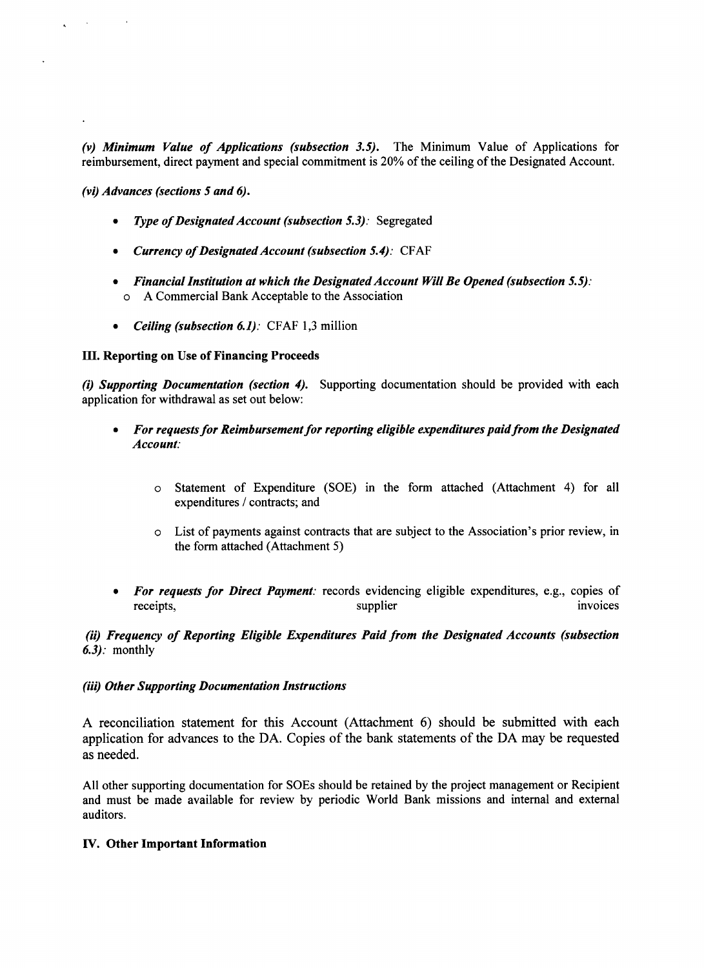*(v) Minimum Value of Applications (subsection 3.5).* The Minimum Value of Applications for reimbursement, direct payment and special commitment is 20% of the ceiling of the Designated Account.

*(vi) Advances (sections 5 and 6).*

 $\sim$   $\sim$ 

- *Type of Designated Account (subsection 5.3):* Segregated
- *\* Currency of Designated Account (subsection 5.4):* **CFAF**
- *\* Financial Institution at which the Designated Account Will Be Opened (subsection 5.5):* o **A** Commercial Bank Acceptable to the Association
- *\* Ceiling (subsection 6.1).* **CFAF 1,3** million

## M. Reporting on Use of Financing Proceeds

*(i) Supporting Documentation (section 4).* Supporting documentation should be provided with each application for withdrawal as set out below:

- *\* For requests for Reimbursement for reporting eligible expenditures paid from the Designated Account:*
	- o Statement of Expenditure **(SOE)** in the form attached (Attachment 4) for all expenditures **/** contracts; and
	- o List of payments against contracts that are subject to the Association's prior review, in the form attached (Attachment **5)**
- *For requests for Direct Payment:* records evidencing eligible expenditures, e.g., copies of receipts, invoices invoices invoices invoices invoices invoices invoices

## *(ii) Frequency of Reporting Eligible Expenditures Paid from the Designated Accounts (subsection 6.3):* monthly

## *(iii) Other Supporting Documentation Instructions*

**A** reconciliation statement for this Account (Attachment **6)** should be submitted with each application for advances to the **DA.** Copies of the bank statements of the **DA** may be requested as needed.

**All** other supporting documentation for SOEs should be retained **by** the project management or Recipient and must be made available for review **by** periodic World Bank missions and internal and external auditors.

## **IV.** Other Important Information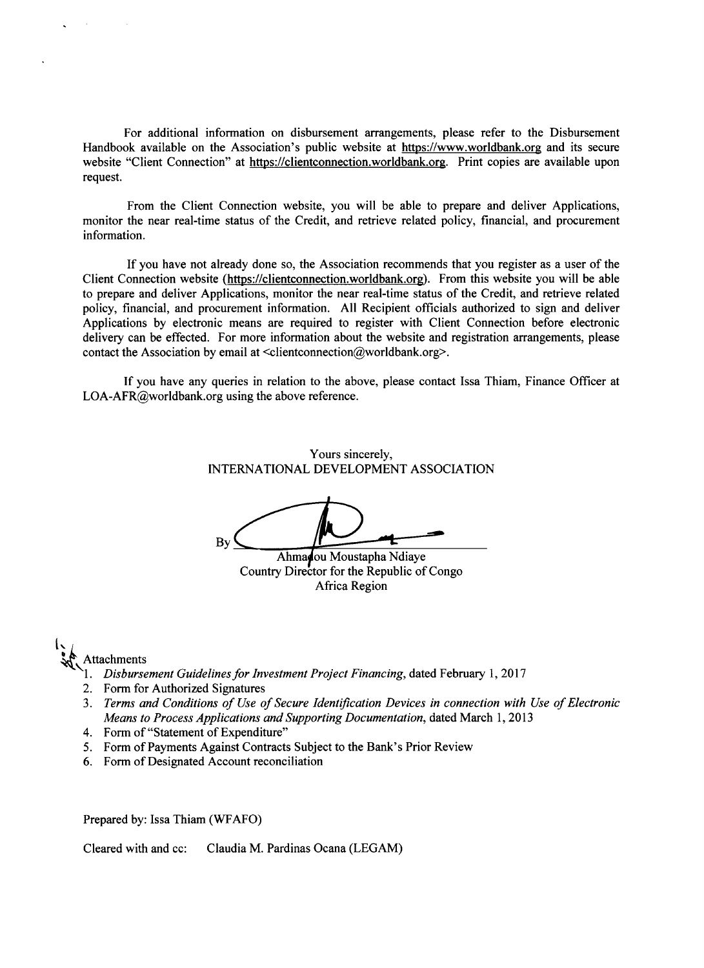For additional information on disbursement arrangements, please refer to the Disbursement Handbook available on the Association's public website at https://www.worldbank.org and its secure website "Client Connection" at https://clientconnection.worldbank.org. Print copies are available upon request.

From the Client Connection website, you will be able to prepare and deliver Applications, monitor the near real-time status of the Credit, and retrieve related policy, financial, and procurement information.

**If** you have not already done so, the Association recommends that you register as a user of the Client Connection website (https://clientconnection.worldbank.org). From this website you will be able to prepare and deliver Applications, monitor the near real-time status of the Credit, and retrieve related policy, financial, and procurement information. **All** Recipient officials authorized to sign and deliver Applications **by** electronic means are required to register with Client Connection before electronic delivery can be effected. For more information about the website and registration arrangements, please contact the Association by email at <clientconnection@worldbank.org>.

**If** you have any queries in relation to the above, please contact Issa Thiam, Finance Officer at LOA-AFR@worldbank.org using the above reference.

> Yours sincerely, **INTERNATIONAL DEVELOPMENT ASSOCIATION**

**By\_\_\_**

Ahmadou Moustapha Ndiaye Country Director for the Republic of Congo Africa Region

# Attachments

- **1.** *Disbursement Guidelines for Investment Project Financing,* dated February **1, 2017**
- 2. Form for Authorized Signatures
- **3.** *Terms and Conditions of Use of Secure Identification Devices in connection with Use of Electronic Means to Process Applications and Supporting Documentation,* dated March **1, 2013**
- *4.* Form of "Statement of Expenditure"
- *5.* Form of Payments Against Contracts Subject to the Bank's Prior Review
- **6.** Form of Designated Account reconciliation

Prepared **by:** Issa Thiam (WFAFO)

Cleared with and cc: Claudia M. Pardinas Ocana **(LEGAM)**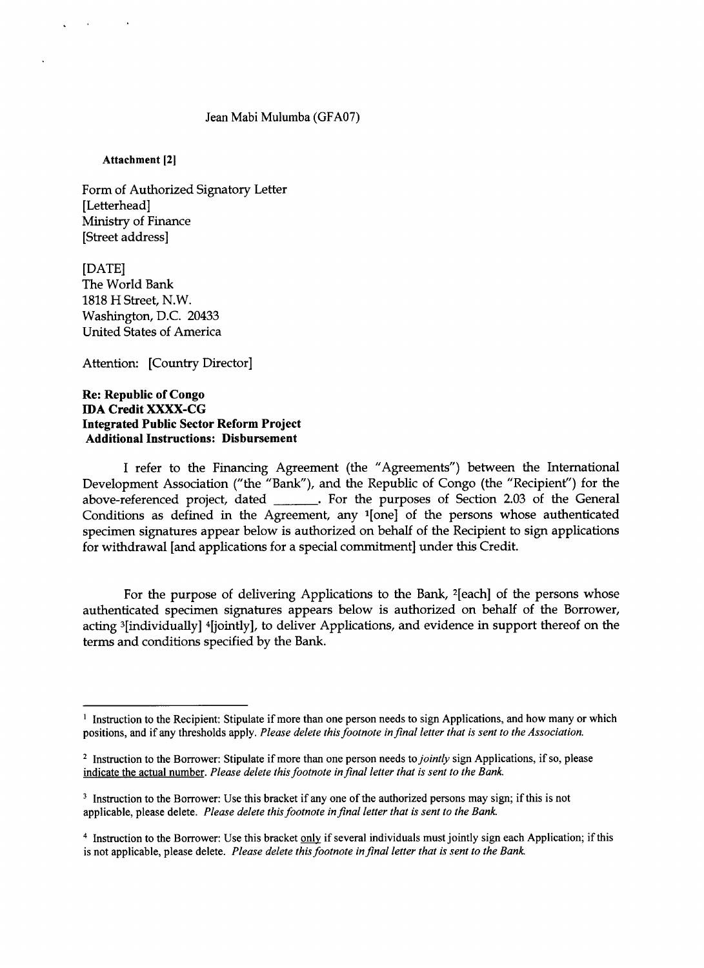#### Jean Mabi Mulumba **(GFAO7)**

Attachment [21

Form of Authorized Signatory Letter [Letterhead] Ministry of Finance [Street address]

**[DATE]** The World Bank **1818** H Street, N.W. Washington, **D.C.** 20433 United States of America

Attention: [Country Director]

## **Re: Republic of Congo IDA Credit XXXX-CG Integrated Public Sector Reform Project Additional Instructions: Disbursement**

**I refer to the Financing** Agreement **(the** "Agreements") between the International Development Association ("the "Bank"), and the Republic of Congo (the "Recipient") for the above-referenced project, dated **.** For the purposes of Section **2.03** of the General Conditions as defined in the Agreement, any '[one] of the persons whose authenticated specimen signatures appear below is authorized on behalf of the Recipient to sign applications for withdrawal [and applications for a special commitment] under this Credit.

For the purpose of delivering Applications to the Bank, 2[each] of the persons whose authenticated specimen signatures appears below is authorized on behalf of the Borrower, acting 3[individually] 4[jointly], to deliver Applications, and evidence in support thereof on the terms and conditions specified **by** the Bank.

**I** Instruction to the Recipient: Stipulate if more than one person needs to sign Applications, and how many or which positions, and if any thresholds apply. *Please delete this footnote in final letter that is sent to the Association.*

**<sup>2</sup>**Instruction to the Borrower: Stipulate if more than one person needs *to jointly* sign Applications, if so, please indicate the actual number. *Please delete this footnote in final letter that is sent to the Bank.*

<sup>&</sup>lt;sup>3</sup> Instruction to the Borrower: Use this bracket if any one of the authorized persons may sign; if this is not applicable, please delete. *Please delete this footnote in final letter that is sent to the Bank.*

<sup>4</sup> Instruction to the Borrower: Use this bracket **only** if several individuals must jointly sign each Application; if this is not applicable, please delete. *Please delete this footnote in final letter that is sent to the Bank.*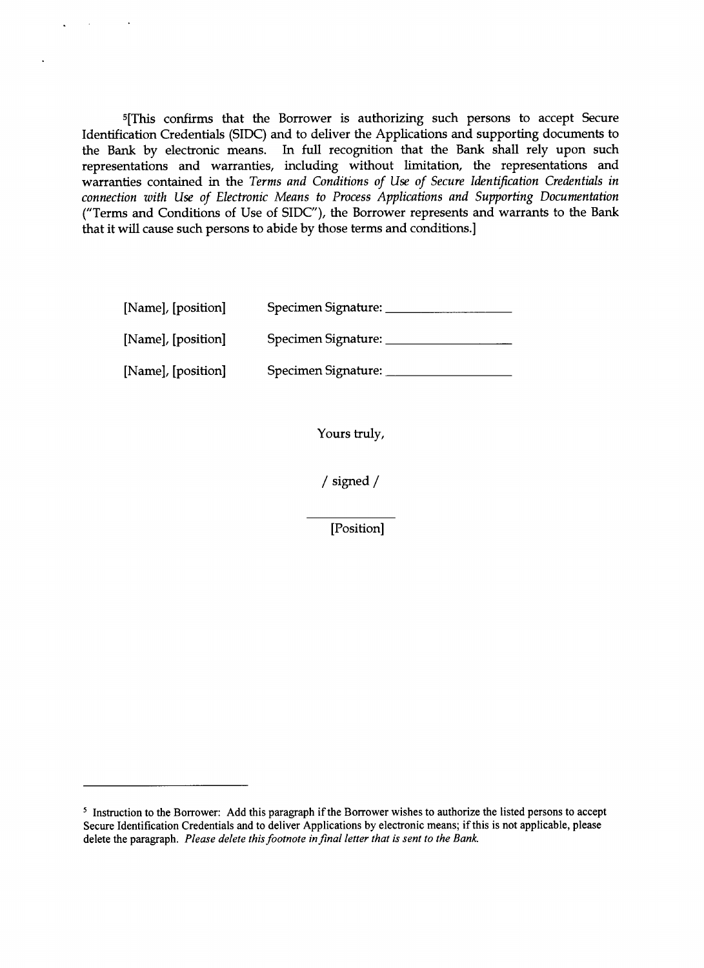5[This confirms that the Borrower is authorizing such persons to accept Secure Identification Credentials (SIDC) and to deliver the Applications and supporting documents to the Bank **by** electronic means. In full recognition that the Bank shall rely upon such representations and warranties, including without limitation, the representations and warranties contained in the *Terms and Conditions of Use of Secure Identification Credentials in connection with Use of Electronic Means to Process Applications and Supporting Documentation* ("Terms and Conditions of Use of SIDC"), the Borrower represents and warrants to the Bank that it will cause such persons to abide **by** those terms and conditions.]

| [Name], [position] | Specimen Signature: |
|--------------------|---------------------|
| [Name], [position] | Specimen Signature: |
| [Name], [position] | Specimen Signature: |

Yours truly,

/ signed **/**

[Position]

<sup>&#</sup>x27; Instruction to the Borrower: **Add** this paragraph if the Borrower wishes to authorize the listed persons to accept Secure Identification Credentials and to deliver Applications **by** electronic means; if this is not applicable, please delete the paragraph. *Please delete this footnote in final letter that is sent to the Bank.*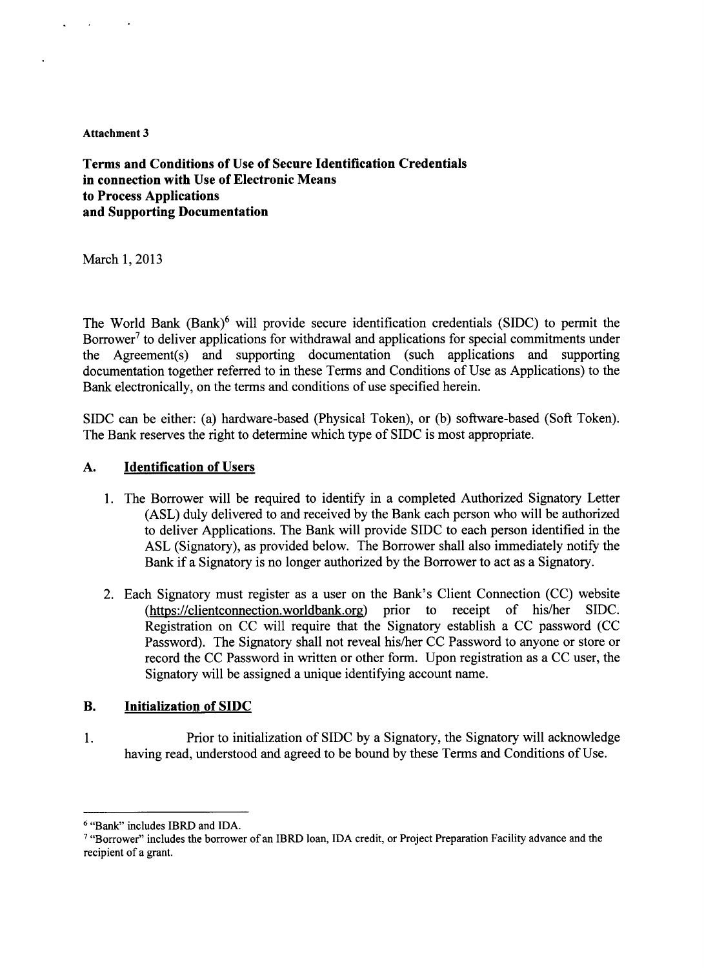#### **Attachment 3**

**Terms and Conditions of Use of Secure Identification Credentials in connection with Use of Electronic Means to Process Applications and Supporting Documentation**

March **1, 2013**

The World Bank (Bank)6 will provide secure identification credentials **(SIDC)** to permit the Borrower<sup>7</sup> to deliver applications for withdrawal and applications for special commitments under the Agreement(s) and supporting documentation (such applications and supporting documentation together referred to in these Terms and Conditions of Use as Applications) to the Bank electronically, on the terms and conditions of use specified herein.

**SIDC** can be either: (a) hardware-based (Physical Token), or **(b)** software-based (Soft Token). The Bank reserves the right to determine which type of **SIDC** is most appropriate.

# **A. Identification of** Users

- **1.** The Borrower will be required to identify in a completed Authorized Signatory Letter **(ASL)** duly delivered to and received **by** the Bank each person who will be authorized to deliver Applications. The Bank will provide **SIDC** to each person identified in the **ASL** (Signatory), as provided below. The Borrower shall also immediately notify the Bank if a Signatory is no longer authorized **by** the Borrower to act as a Signatory.
- 2. Each Signatory must register as a user on the Bank's Client Connection **(CC)** website (https://clientconnection.worldbank.org) prior to receipt of his/her **SIDC.** Registration on **CC** will require that the Signatory establish a **CC** password **(CC** Password). The Signatory shall not reveal his/her **CC** Password to anyone or store or record the **CC** Password in written or other form. Upon registration as a **CC** user, the Signatory will be assigned a unique identifying account name.

# B. Initialization of **SIDC**

**1.** Prior to initialization of **SIDC by** a Signatory, the Signatory will acknowledge having read, understood and agreed to be bound **by** these Terms and Conditions of Use.

<sup>6</sup> "Bank" includes IBRD and **IDA.**

<sup>&</sup>quot;Borrower" includes the borrower of an IBRD loan, **IDA** credit, or Project Preparation Facility advance and the recipient of a grant.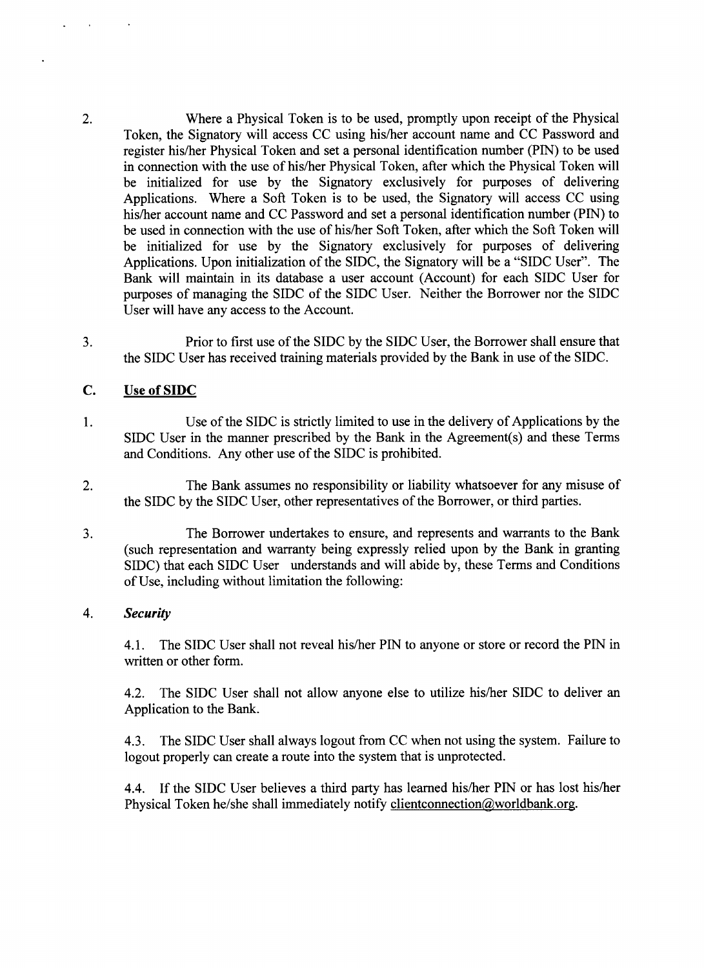2. Where a Physical Token is to be used, promptly upon receipt of the Physical Token, the Signatory will access **CC** using his/her account name and **CC** Password and register his/her Physical Token and set a personal identification number (PIN) to be used in connection with the use of his/her Physical Token, after which the Physical Token will be initialized for use **by** the Signatory exclusively for purposes of delivering Applications. Where a Soft Token is to be used, the Signatory will access **CC** using his/her account name and **CC** Password and set a personal identification number **(PIN)** to be used in connection with the use of his/her Soft Token, after which the Soft Token will be initialized for use **by** the Signatory exclusively for purposes of delivering Applications. Upon initialization of the **SIDC,** the Signatory will be a **"SIDC** User". The Bank will maintain in its database a user account (Account) for each SIDC User for purposes of managing the SIDC of the **SIDC** User. Neither the Borrower nor the SIDC User will have any access to the Account.

**3.** Prior to first use of the **SIDC by** the **SIDC** User, the Borrower shall ensure that the SIDC User has received training materials provided **by** the Bank in use of the **SIDC.**

# **C.** Use **of SIDC**

- 1 **.** Use of the **SIDC** is strictly limited to use in the delivery of Applications **by** the **SIDC** User in the manner prescribed **by** the Bank in the Agreement(s) and these Terms and Conditions. Any other use of the **SIDC** is prohibited.
- 2. The Bank assumes no responsibility or liability whatsoever for any misuse of the SIDC **by** the **SIDC** User, other representatives of the Borrower, or third parties.
- **3.** The Borrower undertakes to ensure, and represents and warrants to the Bank (such representation and warranty being expressly relied upon **by** the Bank in granting SIDC) that each **SIDC** User understands and will abide **by,** these Terms and Conditions of Use, including without limitation the following:

# *4. Security*

**4.1.** The **SIDC** User shall not reveal his/her PIN to anyone or store or record the PIN in written or other form.

4.2. The SIDC User shall not allow anyone else to utilize his/her **SIDC** to deliver an Application to the Bank.

4.3. The **SIDC** User shall always logout from **CC** when not using the system. Failure to logout properly can create a route into the system that is unprotected.

4.4. **If** the **SIDC** User believes a third party has learned his/her **PIN** or has lost his/her Physical Token he/she shall immediately notify clientconnection@worldbank.org.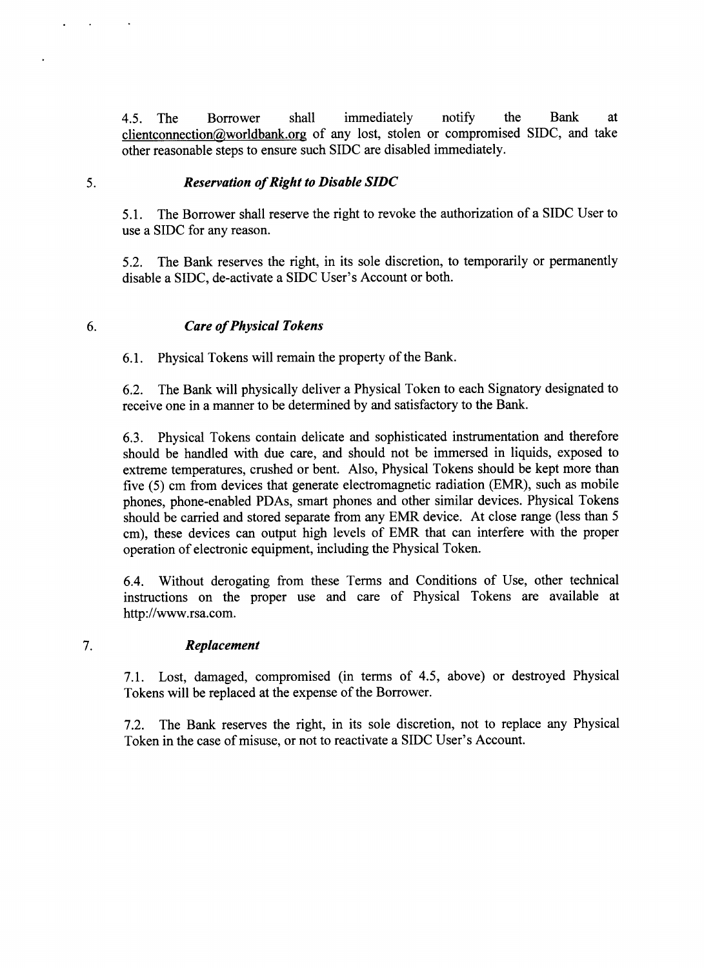4.5. The Borrower shall immediately notify the Bank at clientconnection@worldbank.org of any lost, stolen or compromised SIDC, and take other reasonable steps to ensure such SIDC are disabled immediately.

# **5.** *Reservation of Right to Disable SIDC*

*5.1.* The Borrower shall reserve the right to revoke the authorization of a **SIDC** User to use a **SIDC** for any reason.

**5.2.** The Bank reserves the right, in its sole discretion, to temporarily or permanently disable a **SIDC,** de-activate a **SIDC** User's Account or both.

# *6. Care of Physical Tokens*

**6.1.** Physical Tokens will remain the property of the Bank.

**6.2.** The Bank will physically deliver a Physical Token to each Signatory designated to receive one in a manner to be determined **by** and satisfactory to the Bank.

**6.3.** Physical Tokens contain delicate and sophisticated instrumentation and therefore should be handled with due care, and should not be immersed in liquids, exposed to extreme temperatures, crushed or bent. Also, Physical Tokens should be kept more than five **(5)** cm from devices that generate electromagnetic radiation (EMR), such as mobile phones, phone-enabled PDAs, smart phones and other similar devices. Physical Tokens should be carried and stored separate from any EMR device. At close range (less than **5** cm), these devices can output high levels of EMR that can interfere with the proper operation of electronic equipment, including the Physical Token.

6.4. Without derogating from these Terms and Conditions of Use, other technical instructions on the proper use and care of Physical Tokens are available at http://www.rsa.com.

# **7.** *Replacement*

**7.1.** Lost, damaged, compromised (in terms of 4.5, above) or destroyed Physical Tokens will be replaced at the expense of the Borrower.

**7.2.** The Bank reserves the right, in its sole discretion, not to replace any Physical Token in the case of misuse, or not to reactivate a **SIDC** User's Account.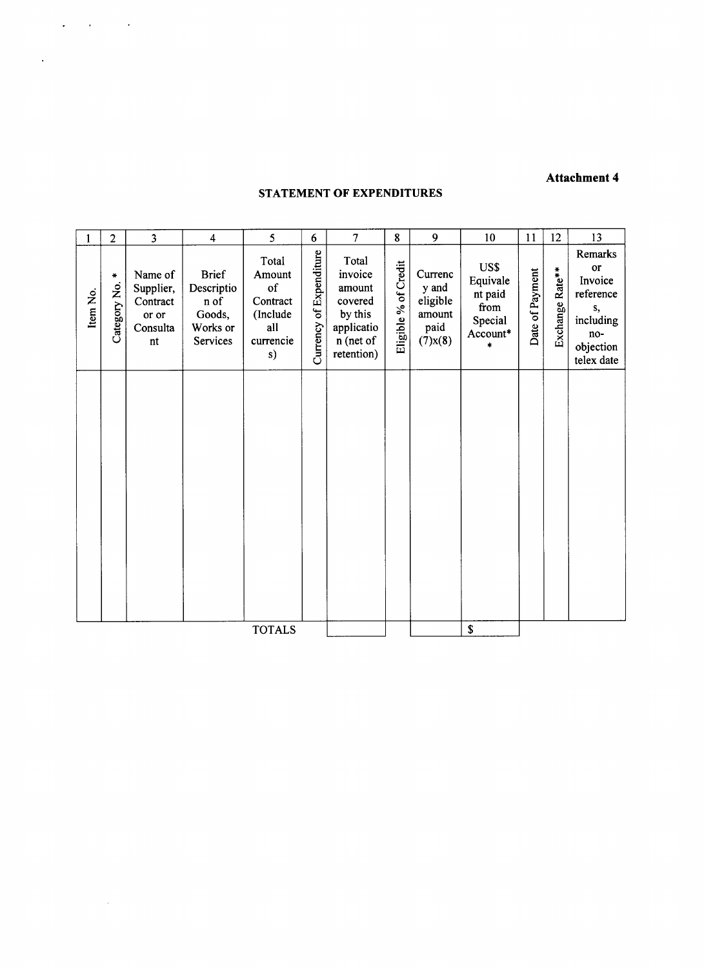# **Attachment 4**

## **STATEMENT OF EXPENDITURES**

 $\mathcal{L}(\mathcal{A})$  and  $\mathcal{L}(\mathcal{A})$  and  $\mathcal{L}(\mathcal{A})$ 

 $\sim 10^{-1}$ 

 $\mathcal{L}^{\text{max}}_{\text{max}}$  . The  $\mathcal{L}^{\text{max}}_{\text{max}}$ 

|          | $\overline{2}$         | $\overline{\mathbf{3}}$                                     | $\overline{4}$                                                       | 5                                                                       | 6                       | $\overline{7}$                                                                            | 8                    | 9                                                               | 10                                                                                          | 11              | 12              | 13                                                                                         |
|----------|------------------------|-------------------------------------------------------------|----------------------------------------------------------------------|-------------------------------------------------------------------------|-------------------------|-------------------------------------------------------------------------------------------|----------------------|-----------------------------------------------------------------|---------------------------------------------------------------------------------------------|-----------------|-----------------|--------------------------------------------------------------------------------------------|
| Item No. | $\ast$<br>Category No. | Name of<br>Supplier,<br>Contract<br>or or<br>Consulta<br>nt | <b>Brief</b><br>Descriptio<br>n of<br>Goods,<br>Works or<br>Services | Total<br>Amount<br>of<br>Contract<br>(Include<br>all<br>currencie<br>s) | Currency of Expenditure | Total<br>invoice<br>amount<br>covered<br>by this<br>applicatio<br>n (net of<br>retention) | Eligible % of Credit | Currenc<br>y and<br>eligible<br>amount<br>paid<br>$(7)$ x $(8)$ | US\$<br>Equivale<br>nt paid<br>from<br>Special<br>$\text{Account*}$<br>$\ddot{\phantom{1}}$ | Date of Payment | Exchange Rate** | Remarks<br>or<br>Invoice<br>reference<br>s,<br>including<br>no-<br>objection<br>telex date |
|          |                        |                                                             |                                                                      |                                                                         |                         |                                                                                           |                      |                                                                 |                                                                                             |                 |                 |                                                                                            |
|          |                        |                                                             |                                                                      | <b>TOTALS</b>                                                           |                         |                                                                                           |                      |                                                                 | $\mathbf S$                                                                                 |                 |                 |                                                                                            |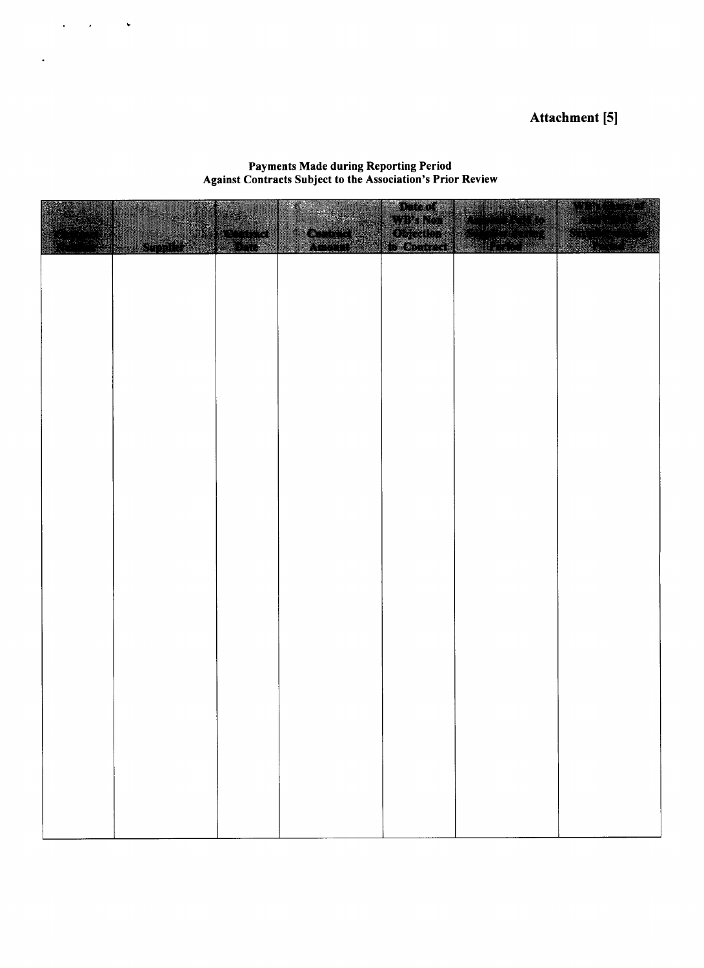# Attachment **[5]**

#### Payments Made during Reporting Period Against Contracts Subject to the Association's Prior Review

 $\mathcal{L}(\mathbf{x}) = \mathcal{L}(\mathbf{x})$  , we have

 $\mathcal{L}^{\pm}$ 

|  | <b>SERVATION</b> | e de la | Date of | gaan waxa |
|--|------------------|---------|---------|-----------|
|  |                  |         |         |           |
|  |                  |         |         |           |
|  |                  |         |         |           |
|  |                  |         |         |           |
|  |                  |         |         |           |
|  |                  |         |         |           |
|  |                  |         |         |           |
|  |                  |         |         |           |
|  |                  |         |         |           |
|  |                  |         |         |           |